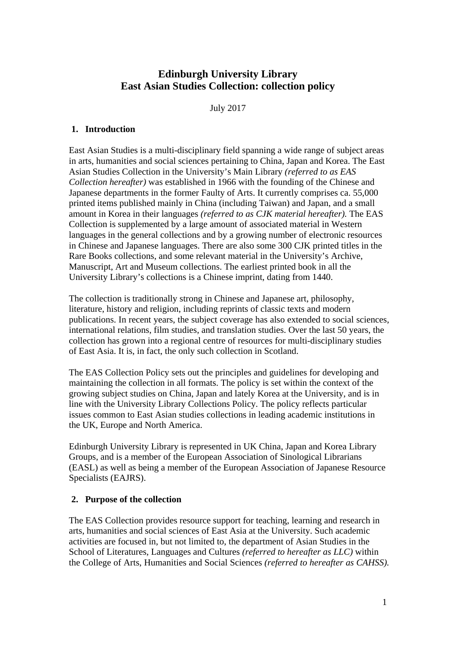# **Edinburgh University Library East Asian Studies Collection: collection policy**

July 2017

#### **1. Introduction**

East Asian Studies is a multi-disciplinary field spanning a wide range of subject areas in arts, humanities and social sciences pertaining to China, Japan and Korea. The East Asian Studies Collection in the University's Main Library *(referred to as EAS Collection hereafter)* was established in 1966 with the founding of the Chinese and Japanese departments in the former Faulty of Arts. It currently comprises ca. 55,000 printed items published mainly in China (including Taiwan) and Japan, and a small amount in Korea in their languages *(referred to as CJK material hereafter).* The EAS Collection is supplemented by a large amount of associated material in Western languages in the general collections and by a growing number of electronic resources in Chinese and Japanese languages. There are also some 300 CJK printed titles in the Rare Books collections, and some relevant material in the University's Archive, Manuscript, Art and Museum collections. The earliest printed book in all the University Library's collections is a Chinese imprint, dating from 1440.

The collection is traditionally strong in Chinese and Japanese art, philosophy, literature, history and religion, including reprints of classic texts and modern publications. In recent years, the subject coverage has also extended to social sciences, international relations, film studies, and translation studies. Over the last 50 years, the collection has grown into a regional centre of resources for multi-disciplinary studies of East Asia. It is, in fact, the only such collection in Scotland.

The EAS Collection Policy sets out the principles and guidelines for developing and maintaining the collection in all formats. The policy is set within the context of the growing subject studies on China, Japan and lately Korea at the University, and is in line with the University Library Collections Policy. The policy reflects particular issues common to East Asian studies collections in leading academic institutions in the UK, Europe and North America.

Edinburgh University Library is represented in UK China, Japan and Korea Library Groups, and is a member of the European Association of Sinological Librarians (EASL) as well as being a member of the European Association of Japanese Resource Specialists (EAJRS).

### **2. Purpose of the collection**

The EAS Collection provides resource support for teaching, learning and research in arts, humanities and social sciences of East Asia at the University. Such academic activities are focused in, but not limited to, the department of Asian Studies in the School of Literatures, Languages and Cultures *(referred to hereafter as LLC)* within the College of Arts, Humanities and Social Sciences *(referred to hereafter as CAHSS).*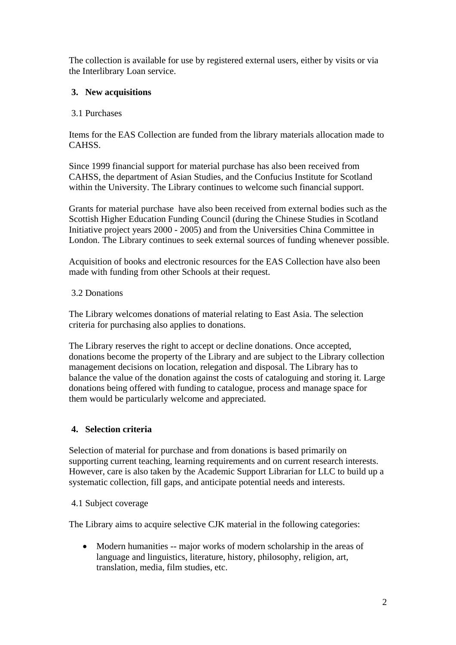The collection is available for use by registered external users, either by visits or via the Interlibrary Loan service.

### **3. New acquisitions**

### 3.1 Purchases

Items for the EAS Collection are funded from the library materials allocation made to CAHSS.

Since 1999 financial support for material purchase has also been received from CAHSS, the department of Asian Studies, and the Confucius Institute for Scotland within the University. The Library continues to welcome such financial support.

Grants for material purchase have also been received from external bodies such as the Scottish Higher Education Funding Council (during the Chinese Studies in Scotland Initiative project years 2000 - 2005) and from the Universities China Committee in London. The Library continues to seek external sources of funding whenever possible.

Acquisition of books and electronic resources for the EAS Collection have also been made with funding from other Schools at their request.

### 3.2 Donations

The Library welcomes donations of material relating to East Asia. The selection criteria for purchasing also applies to donations.

The Library reserves the right to accept or decline donations. Once accepted, donations become the property of the Library and are subject to the Library collection management decisions on location, relegation and disposal. The Library has to balance the value of the donation against the costs of cataloguing and storing it. Large donations being offered with funding to catalogue, process and manage space for them would be particularly welcome and appreciated.

# **4. Selection criteria**

Selection of material for purchase and from donations is based primarily on supporting current teaching, learning requirements and on current research interests. However, care is also taken by the Academic Support Librarian for LLC to build up a systematic collection, fill gaps, and anticipate potential needs and interests.

### 4.1 Subject coverage

The Library aims to acquire selective CJK material in the following categories:

• Modern humanities -- major works of modern scholarship in the areas of language and linguistics, literature, history, philosophy, religion, art, translation, media, film studies, etc.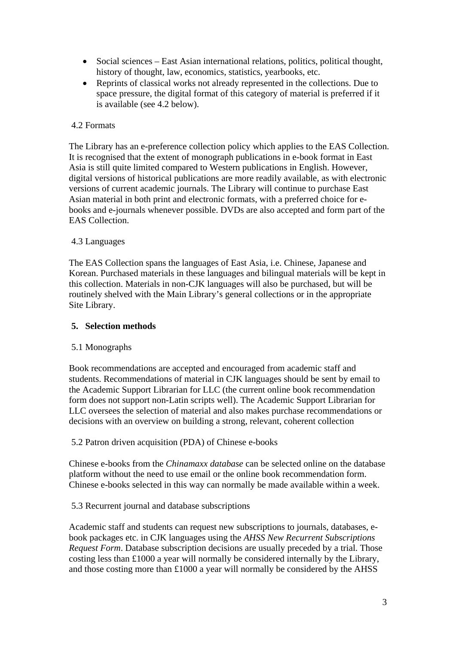- Social sciences East Asian international relations, politics, political thought, history of thought, law, economics, statistics, yearbooks, etc.
- Reprints of classical works not already represented in the collections. Due to space pressure, the digital format of this category of material is preferred if it is available (see 4.2 below).

### 4.2 Formats

The Library has an e-preference collection policy which applies to the EAS Collection. It is recognised that the extent of monograph publications in e-book format in East Asia is still quite limited compared to Western publications in English. However, digital versions of historical publications are more readily available, as with electronic versions of current academic journals. The Library will continue to purchase East Asian material in both print and electronic formats, with a preferred choice for ebooks and e-journals whenever possible. DVDs are also accepted and form part of the EAS Collection.

### 4.3 Languages

The EAS Collection spans the languages of East Asia, i.e. Chinese, Japanese and Korean. Purchased materials in these languages and bilingual materials will be kept in this collection. Materials in non-CJK languages will also be purchased, but will be routinely shelved with the Main Library's general collections or in the appropriate Site Library.

#### **5. Selection methods**

### 5.1 Monographs

Book recommendations are accepted and encouraged from academic staff and students. Recommendations of material in CJK languages should be sent by email to the Academic Support Librarian for LLC (the current online book recommendation form does not support non-Latin scripts well). The Academic Support Librarian for LLC oversees the selection of material and also makes purchase recommendations or decisions with an overview on building a strong, relevant, coherent collection

### 5.2 Patron driven acquisition (PDA) of Chinese e-books

Chinese e-books from the *Chinamaxx database* can be selected online on the database platform without the need to use email or the online book recommendation form. Chinese e-books selected in this way can normally be made available within a week.

### 5.3 Recurrent journal and database subscriptions

Academic staff and students can request new subscriptions to journals, databases, ebook packages etc. in CJK languages using the *AHSS New Recurrent Subscriptions Request Form*. Database subscription decisions are usually preceded by a trial. Those costing less than £1000 a year will normally be considered internally by the Library, and those costing more than £1000 a year will normally be considered by the AHSS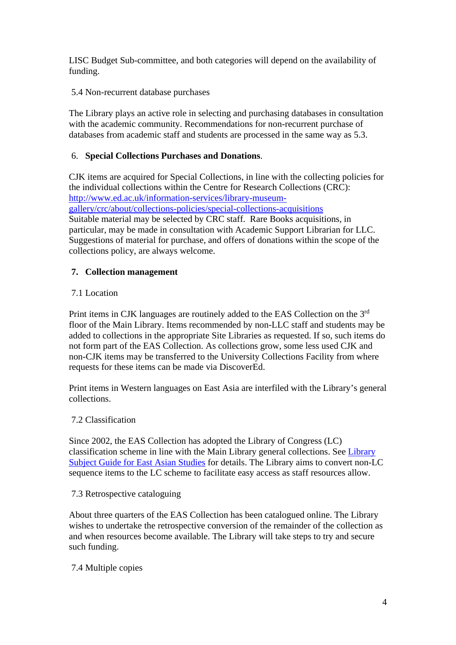LISC Budget Sub-committee, and both categories will depend on the availability of funding.

5.4 Non-recurrent database purchases

The Library plays an active role in selecting and purchasing databases in consultation with the academic community. Recommendations for non-recurrent purchase of databases from academic staff and students are processed in the same way as 5.3.

### 6. **Special Collections Purchases and Donations**.

CJK items are acquired for Special Collections, in line with the collecting policies for the individual collections within the Centre for Research Collections (CRC): http://www.ed.ac.uk/information-services/library-museumgallery/crc/about/collections-policies/special-collections-acquisitions Suitable material may be selected by CRC staff. Rare Books acquisitions, in particular, may be made in consultation with Academic Support Librarian for LLC. Suggestions of material for purchase, and offers of donations within the scope of the collections policy, are always welcome.

### **7. Collection management**

### 7.1 Location

Print items in CJK languages are routinely added to the EAS Collection on the 3rd floor of the Main Library. Items recommended by non-LLC staff and students may be added to collections in the appropriate Site Libraries as requested. If so, such items do not form part of the EAS Collection. As collections grow, some less used CJK and non-CJK items may be transferred to the University Collections Facility from where requests for these items can be made via DiscoverEd.

Print items in Western languages on East Asia are interfiled with the Library's general collections.

### 7.2 Classification

Since 2002, the EAS Collection has adopted the Library of Congress (LC) classification scheme in line with the Main Library general collections. See Library Subject Guide for East Asian Studies for details. The Library aims to convert non-LC sequence items to the LC scheme to facilitate easy access as staff resources allow.

#### 7.3 Retrospective cataloguing

About three quarters of the EAS Collection has been catalogued online. The Library wishes to undertake the retrospective conversion of the remainder of the collection as and when resources become available. The Library will take steps to try and secure such funding.

### 7.4 Multiple copies